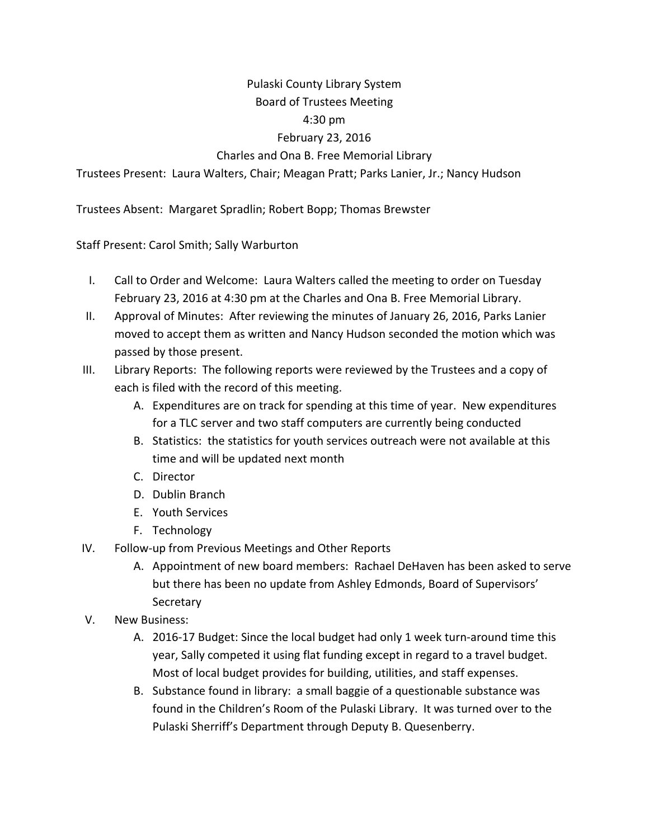# Pulaski County Library System

# Board of Trustees Meeting

#### 4:30 pm

## February 23, 2016

### Charles and Ona B. Free Memorial Library

Trustees Present: Laura Walters, Chair; Meagan Pratt; Parks Lanier, Jr.; Nancy Hudson

Trustees Absent: Margaret Spradlin; Robert Bopp; Thomas Brewster

Staff Present: Carol Smith; Sally Warburton

- I. Call to Order and Welcome: Laura Walters called the meeting to order on Tuesday February 23, 2016 at 4:30 pm at the Charles and Ona B. Free Memorial Library.
- II. Approval of Minutes: After reviewing the minutes of January 26, 2016, Parks Lanier moved to accept them as written and Nancy Hudson seconded the motion which was passed by those present.
- III. Library Reports: The following reports were reviewed by the Trustees and a copy of each is filed with the record of this meeting.
	- A. Expenditures are on track for spending at this time of year. New expenditures for a TLC server and two staff computers are currently being conducted
	- B. Statistics: the statistics for youth services outreach were not available at this time and will be updated next month
	- C. Director
	- D. Dublin Branch
	- E. Youth Services
	- F. Technology
- IV. Follow‐up from Previous Meetings and Other Reports
	- A. Appointment of new board members: Rachael DeHaven has been asked to serve but there has been no update from Ashley Edmonds, Board of Supervisors' **Secretary**
- V. New Business:
	- A. 2016-17 Budget: Since the local budget had only 1 week turn-around time this year, Sally competed it using flat funding except in regard to a travel budget. Most of local budget provides for building, utilities, and staff expenses.
	- B. Substance found in library: a small baggie of a questionable substance was found in the Children's Room of the Pulaski Library. It was turned over to the Pulaski Sherriff's Department through Deputy B. Quesenberry.